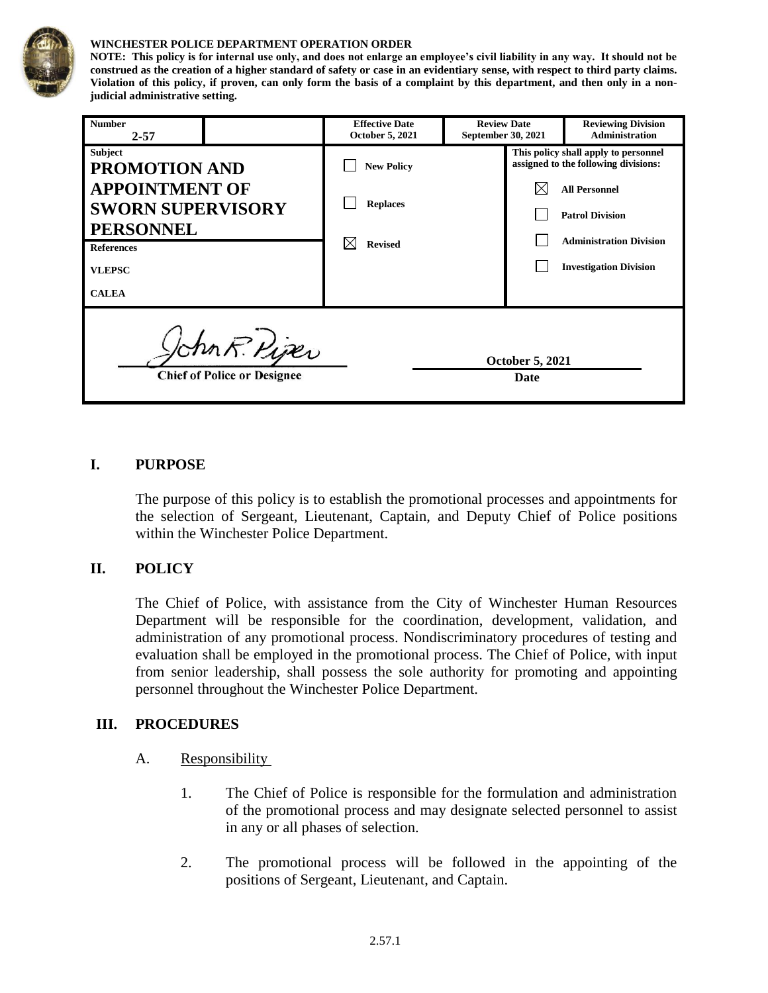

#### **WINCHESTER POLICE DEPARTMENT OPERATION ORDER**

**NOTE: This policy is for internal use only, and does not enlarge an employee's civil liability in any way. It should not be construed as the creation of a higher standard of safety or case in an evidentiary sense, with respect to third party claims. Violation of this policy, if proven, can only form the basis of a complaint by this department, and then only in a nonjudicial administrative setting.**

| <b>Number</b><br>$2 - 57$                                                             | <b>Effective Date</b><br>October 5, 2021 | <b>Review Date</b><br>September 30, 2021 |                                                                              | <b>Reviewing Division</b><br><b>Administration</b> |
|---------------------------------------------------------------------------------------|------------------------------------------|------------------------------------------|------------------------------------------------------------------------------|----------------------------------------------------|
| <b>Subject</b><br><b>PROMOTION AND</b>                                                | <b>New Policy</b>                        |                                          | This policy shall apply to personnel<br>assigned to the following divisions: |                                                    |
| <b>APPOINTMENT OF</b>                                                                 | <b>Replaces</b>                          |                                          |                                                                              | <b>All Personnel</b>                               |
| <b>SWORN SUPERVISORY</b><br><b>PERSONNEL</b>                                          |                                          |                                          |                                                                              | <b>Patrol Division</b>                             |
| <b>References</b>                                                                     | <b>Revised</b>                           |                                          |                                                                              | <b>Administration Division</b>                     |
| <b>VLEPSC</b>                                                                         |                                          |                                          |                                                                              | <b>Investigation Division</b>                      |
| <b>CALEA</b>                                                                          |                                          |                                          |                                                                              |                                                    |
| John R. Piper<br><b>October 5, 2021</b><br><b>Chief of Police or Designee</b><br>Date |                                          |                                          |                                                                              |                                                    |

#### **I. PURPOSE**

The purpose of this policy is to establish the promotional processes and appointments for the selection of Sergeant, Lieutenant, Captain, and Deputy Chief of Police positions within the Winchester Police Department.

## **II. POLICY**

The Chief of Police, with assistance from the City of Winchester Human Resources Department will be responsible for the coordination, development, validation, and administration of any promotional process. Nondiscriminatory procedures of testing and evaluation shall be employed in the promotional process. The Chief of Police, with input from senior leadership, shall possess the sole authority for promoting and appointing personnel throughout the Winchester Police Department.

## **III. PROCEDURES**

- A. Responsibility
	- 1. The Chief of Police is responsible for the formulation and administration of the promotional process and may designate selected personnel to assist in any or all phases of selection.
	- 2. The promotional process will be followed in the appointing of the positions of Sergeant, Lieutenant, and Captain.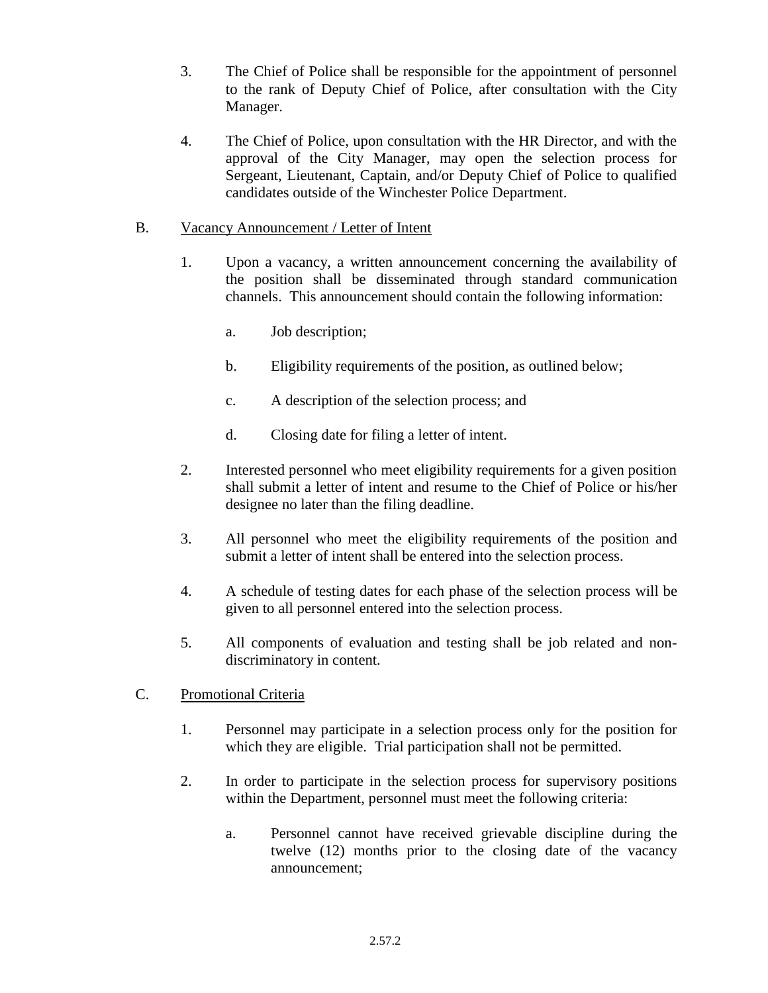- 3. The Chief of Police shall be responsible for the appointment of personnel to the rank of Deputy Chief of Police, after consultation with the City Manager.
- 4. The Chief of Police, upon consultation with the HR Director, and with the approval of the City Manager, may open the selection process for Sergeant, Lieutenant, Captain, and/or Deputy Chief of Police to qualified candidates outside of the Winchester Police Department.

## B. Vacancy Announcement / Letter of Intent

- 1. Upon a vacancy, a written announcement concerning the availability of the position shall be disseminated through standard communication channels. This announcement should contain the following information:
	- a. Job description;
	- b. Eligibility requirements of the position, as outlined below;
	- c. A description of the selection process; and
	- d. Closing date for filing a letter of intent.
- 2. Interested personnel who meet eligibility requirements for a given position shall submit a letter of intent and resume to the Chief of Police or his/her designee no later than the filing deadline.
- 3. All personnel who meet the eligibility requirements of the position and submit a letter of intent shall be entered into the selection process.
- 4. A schedule of testing dates for each phase of the selection process will be given to all personnel entered into the selection process.
- 5. All components of evaluation and testing shall be job related and nondiscriminatory in content.

## C. Promotional Criteria

- 1. Personnel may participate in a selection process only for the position for which they are eligible. Trial participation shall not be permitted.
- 2. In order to participate in the selection process for supervisory positions within the Department, personnel must meet the following criteria:
	- a. Personnel cannot have received grievable discipline during the twelve (12) months prior to the closing date of the vacancy announcement;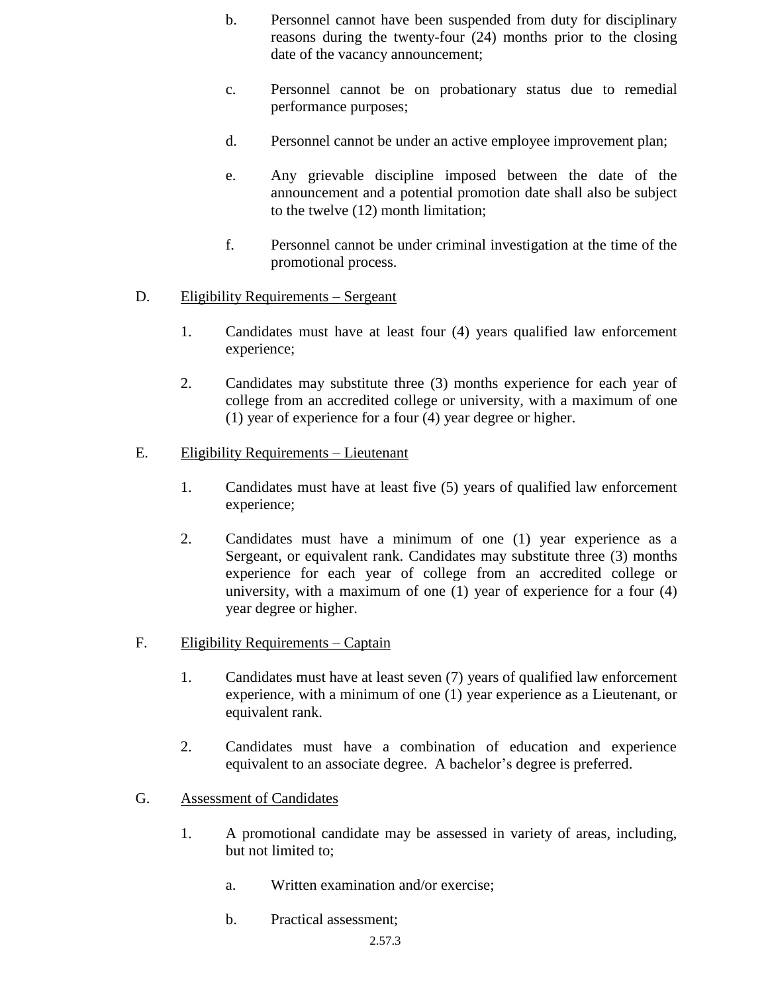- b. Personnel cannot have been suspended from duty for disciplinary reasons during the twenty-four (24) months prior to the closing date of the vacancy announcement;
- c. Personnel cannot be on probationary status due to remedial performance purposes;
- d. Personnel cannot be under an active employee improvement plan;
- e. Any grievable discipline imposed between the date of the announcement and a potential promotion date shall also be subject to the twelve (12) month limitation;
- f. Personnel cannot be under criminal investigation at the time of the promotional process.
- D. Eligibility Requirements Sergeant
	- 1. Candidates must have at least four (4) years qualified law enforcement experience;
	- 2. Candidates may substitute three (3) months experience for each year of college from an accredited college or university, with a maximum of one (1) year of experience for a four (4) year degree or higher.
- E. Eligibility Requirements Lieutenant
	- 1. Candidates must have at least five (5) years of qualified law enforcement experience;
	- 2. Candidates must have a minimum of one (1) year experience as a Sergeant, or equivalent rank. Candidates may substitute three (3) months experience for each year of college from an accredited college or university, with a maximum of one (1) year of experience for a four (4) year degree or higher.
- F. Eligibility Requirements Captain
	- 1. Candidates must have at least seven (7) years of qualified law enforcement experience, with a minimum of one (1) year experience as a Lieutenant, or equivalent rank.
	- 2. Candidates must have a combination of education and experience equivalent to an associate degree. A bachelor's degree is preferred.
- G. Assessment of Candidates
	- 1. A promotional candidate may be assessed in variety of areas, including, but not limited to;
		- a. Written examination and/or exercise;
		- b. Practical assessment;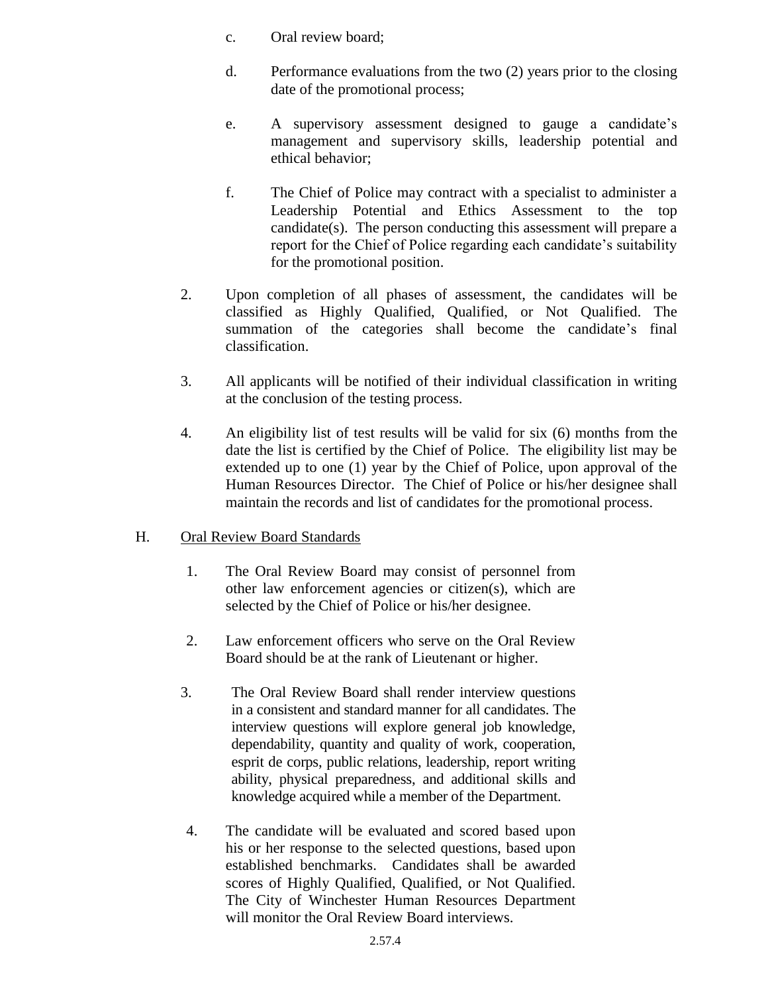- c. Oral review board;
- d. Performance evaluations from the two (2) years prior to the closing date of the promotional process;
- e. A supervisory assessment designed to gauge a candidate's management and supervisory skills, leadership potential and ethical behavior;
- f. The Chief of Police may contract with a specialist to administer a Leadership Potential and Ethics Assessment to the top candidate(s). The person conducting this assessment will prepare a report for the Chief of Police regarding each candidate's suitability for the promotional position.
- 2. Upon completion of all phases of assessment, the candidates will be classified as Highly Qualified, Qualified, or Not Qualified. The summation of the categories shall become the candidate's final classification.
- 3. All applicants will be notified of their individual classification in writing at the conclusion of the testing process.
- 4. An eligibility list of test results will be valid for six (6) months from the date the list is certified by the Chief of Police. The eligibility list may be extended up to one (1) year by the Chief of Police, upon approval of the Human Resources Director. The Chief of Police or his/her designee shall maintain the records and list of candidates for the promotional process.

# H. Oral Review Board Standards

- 1. The Oral Review Board may consist of personnel from other law enforcement agencies or citizen(s), which are selected by the Chief of Police or his/her designee.
- 2. Law enforcement officers who serve on the Oral Review Board should be at the rank of Lieutenant or higher.
- 3. The Oral Review Board shall render interview questions in a consistent and standard manner for all candidates. The interview questions will explore general job knowledge, dependability, quantity and quality of work, cooperation, esprit de corps, public relations, leadership, report writing ability, physical preparedness, and additional skills and knowledge acquired while a member of the Department.
- 4. The candidate will be evaluated and scored based upon his or her response to the selected questions, based upon established benchmarks. Candidates shall be awarded scores of Highly Qualified, Qualified, or Not Qualified. The City of Winchester Human Resources Department will monitor the Oral Review Board interviews.